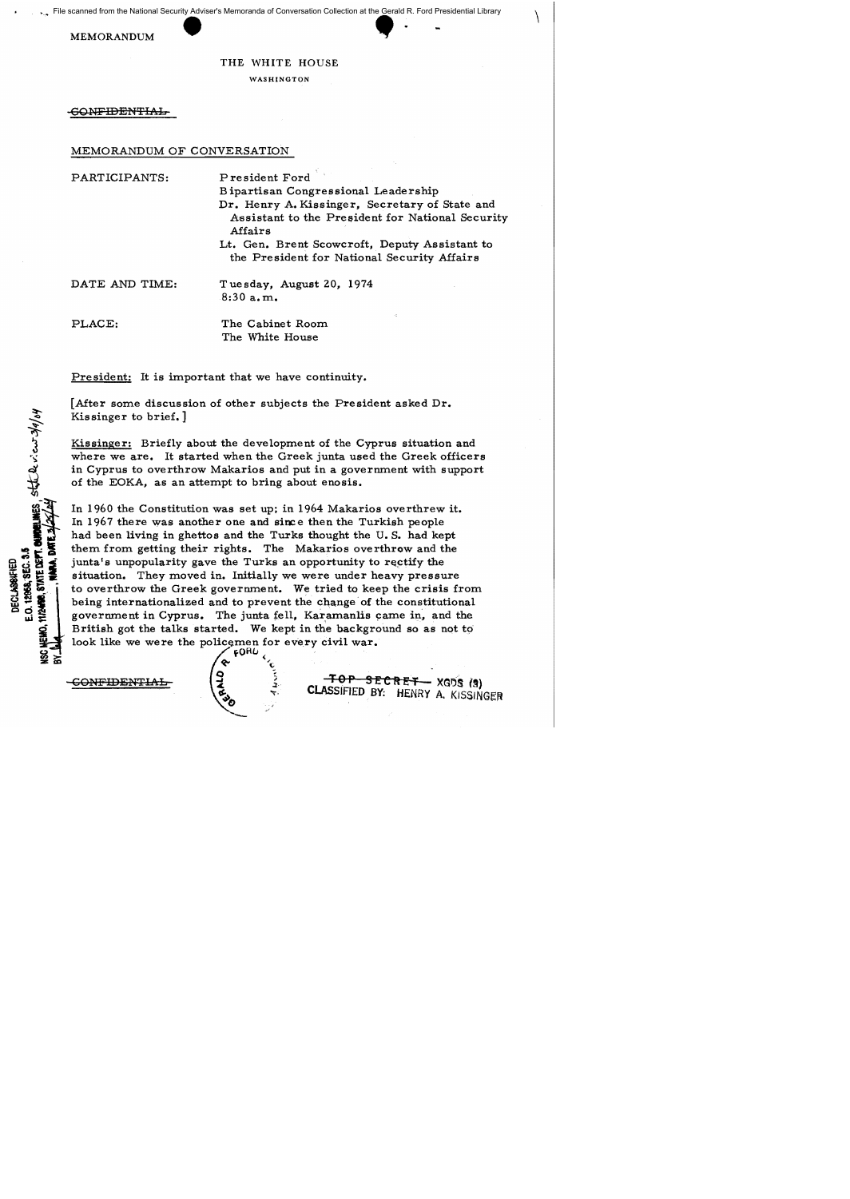File scanned from the National Security Adviser's Memoranda of Conversation Collection at the Gerald R. Ford Presidential Library EXPRESS MEMORANDUM THE WHITE HOUSE

## THE WHITE HOUSE

 $\setminus$ 

WASHINGTON

CONFIDENTIAL

## MEMORANDUM OF CONVERSATION

| PARTICIPANTS:  | President Ford<br>Bipartisan Congressional Leadership<br>Dr. Henry A. Kissinger, Secretary of State and<br>Assistant to the President for National Security<br>Affairs<br>Lt. Gen. Brent Scowcroft, Deputy Assistant to<br>the President for National Security Affairs |
|----------------|------------------------------------------------------------------------------------------------------------------------------------------------------------------------------------------------------------------------------------------------------------------------|
| DATE AND TIME: | Tuesday, August 20, 1974<br>8:30a.m.                                                                                                                                                                                                                                   |
| PLACE:         | The Cabinet Room<br>The White House                                                                                                                                                                                                                                    |

President: It is important that we have continuity.

[After some discussion of other subjects the President asked Dr. Kissinger to brief.]

Kissinger: Briefly about the development of the Cyprus situation and where we are. It started when the Greek junta used the Greek officers in Cyprus to overthrow Makarios and put in a government with support of the EOKA, as an attempt to bring about enosis.

In 1960 the Constitution was set up; in 1964 Makarios overthrew it. In 1967 there was another one and since then the Turkish people had been living in ghettos and the Turks thought the U. S. had kept them from getting their rights. The Makarios overthrow and the junta's unpopularity gave the Turks an opportunity to rectify the situation. They moved in. Initially we were under heavy pressure to overthrow the Greek government. We tried to keep the crisis from being internationalized and to prevent the change of the constitutional government in Cyprus. The junta fell, Karamanlis came in, and the British got the talks started. We kept in the background so as not to' look like we were the policemen for every civil war.

E.O. 12868, SELS. 3.5

E.O. 12868, SEC. 3.5 **DECLASSIFIED** 

g

 $60B$  $\mathbf{e}$   $\mathbf{e}$ 

CONFIDENTIAL  $\begin{pmatrix} 1 & 1 & 0 \\ 0 & 1 & 0 \end{pmatrix}$  TOP SECRET  $XGDS$  (a) CLASSIFIED BY: HENRY A. KISSINGER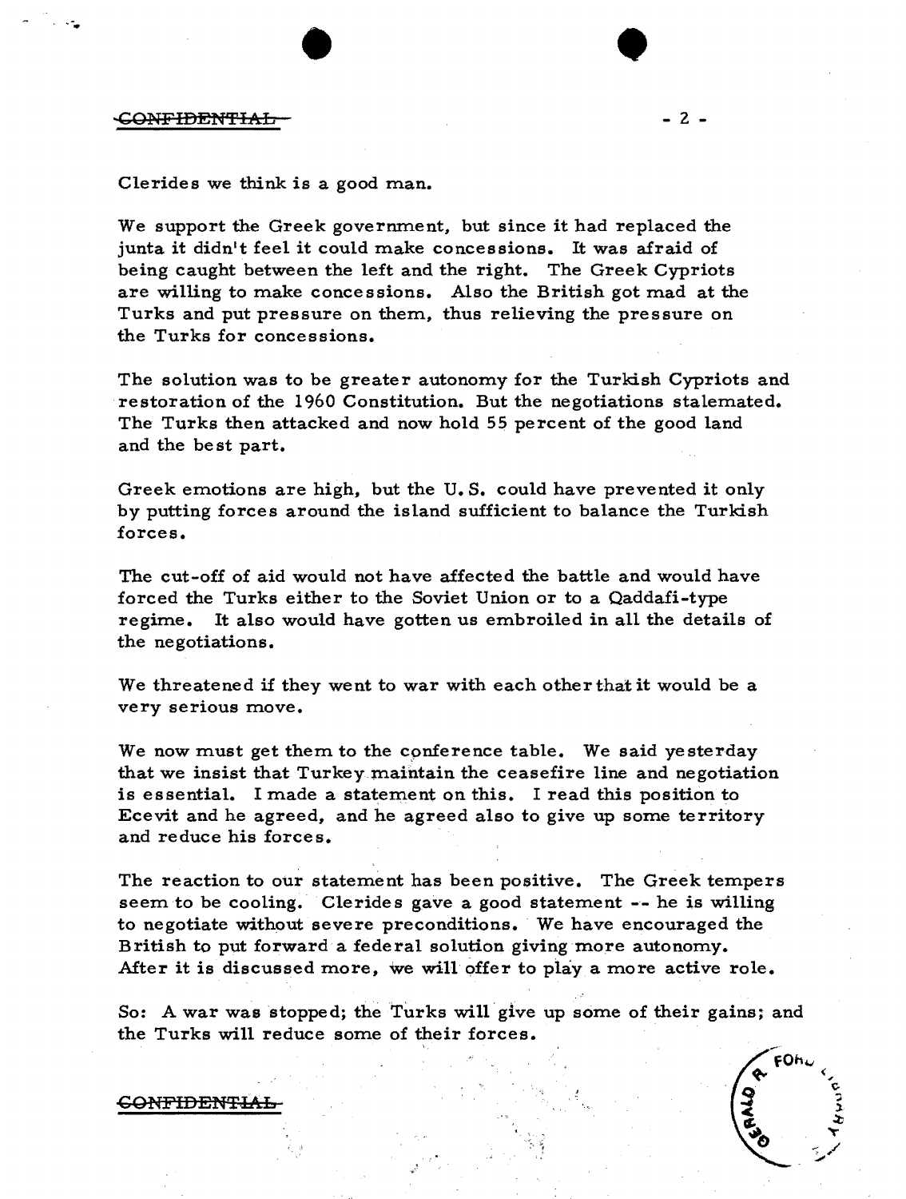,-.

Clerides we think is a good man.

We support the Greek government, but since it had replaced the junta it didn't feel it could make concessions. It was afraid of being caught between the left and the right. The Greek Cypriots are willing to make concessions. Also the British got mad at the Turks and put pressure on them, thus relieving the pressure on the Turks for concessions.

 $\bullet$ 

The solution was to be greater autonomy for the Turkish Cypriots and restoration of the 1960 Constitution. But the negotiations stalemated. The Turks then attacked and now hold 55 percent of the good land and the be st part.

Greek emotions are high, but the U. S. could have prevented it only by putting forces around the island sufficient to balance the Turkish forces.

The cut-off of aid would not have affected the battle and would have forced the Turks either to the Soviet Union or to a Qaddafi-type regime. It also would have gotten us embroiled in all the details of the negotiations.

We threatened if they went to war with each other that it would be a very serious move.

We now must get them to the cpnference table. We said yesterday that we insist that Turkey maintain the ceasefire line and negotiation is essential. I made a statement on this. I read this position to Ecevit and he agreed, and he agreed also to give up some territory and reduce his forces.

The reaction to our statement has been positive. The Greek tempers seem to be cooling. Clerides gave a good statement -- he is willing to negotiate without severe preconditions. We have encouraged the British to put forward a federal solution giving more autonomy. After it is discussed more, we will offer to play a more active role.

So: A war was stopped; the Turks will give up some of their gains; and the Turks will reduce some of their forces.



~ONFIDENTML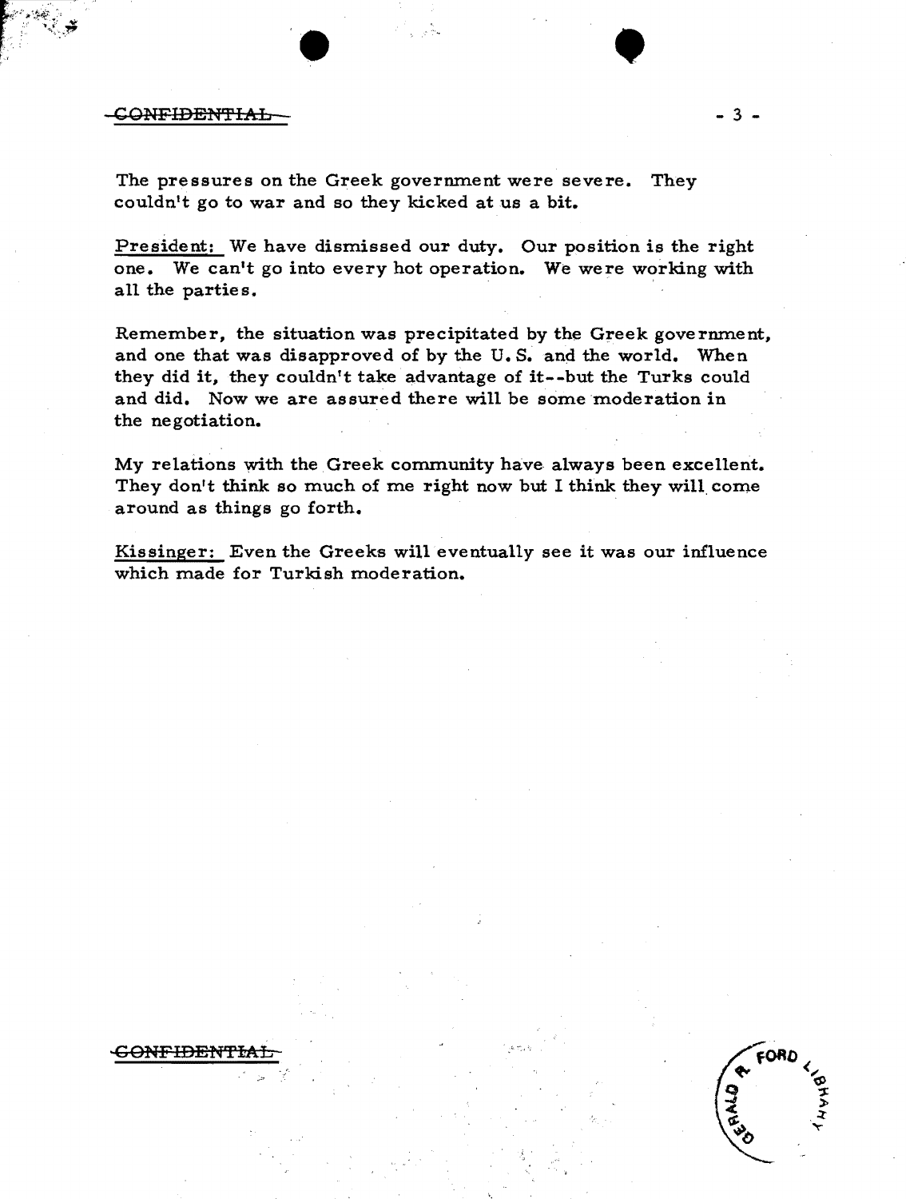## CONFIDENTIAL-

GONFIDENTI

The pressures on the Greek govermnent were severe. They couldn't go to war and so they kicked at us a bit.

President: We have dismissed our duty. Our position is the right one. We can't go into every hot operation. We were working with all the parties.

 $\bullet$   $\bullet$ 

Remember, the situation was precipitated by the Greek govermnent, and one that was disapproved of by the U. S. and the world. When they did it, they couldn't take advantage of it--but the Turks could and did. Now we are assured there will be some moderation in the negotiation.

My relations with the Greek community have always been excellent. They don't think so much of me right now but I think they will come around as things go forth.

Kissinger: Even the Greeks will eventually see it was our influence which made for Turkish moderation.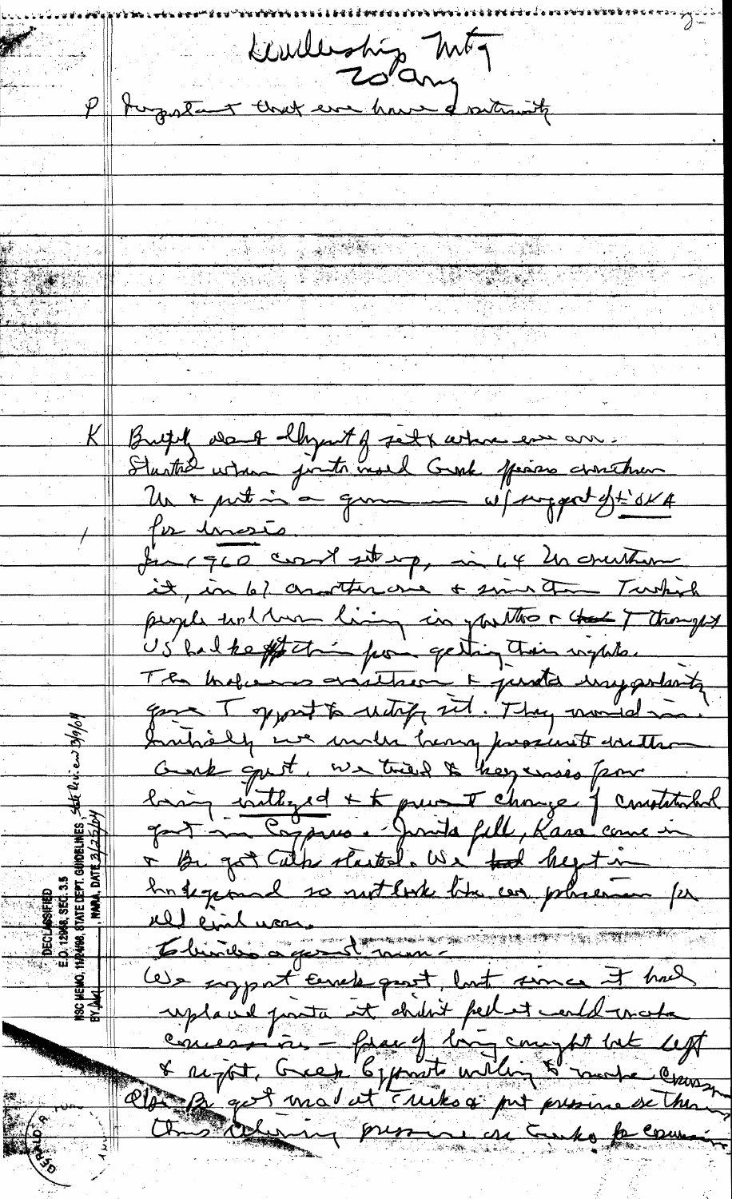Pluster automy MFT The state of the state of the state of the state of the state of the state of the state of the state of the state of the state of the state of the state of the state of the state of the state of the state of the state of t Butil va lhymt of feit x where ever are Un x putin a qui vil support dt SKA pr inste fine que court starp, in 4 20 counter it, in 6/ contracte of sing to Turkish people unthan living in partter a that I thought US had the off thing from getting their wephter The balance evitted in punto importante gone I gypat to untify sit. They moved in Introly in under home proximit doutter hang inthered + to puis I change of constitution + By got Cather started. We tal hegetime Ingegeard so not look the cor placement for re cincluson We support Encle part, but some it had uplant fonta et didn't pellet could mata & report, Green 6, proste willing & mode croisse this defining presence in Enko for comme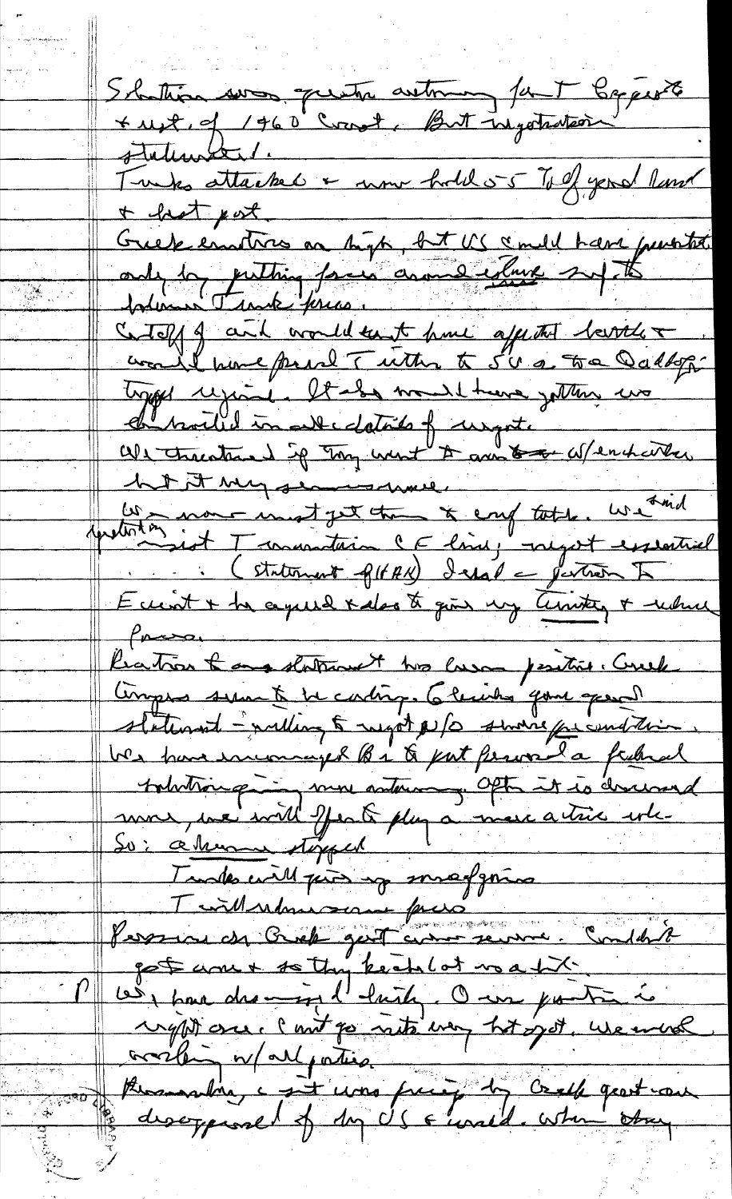Shattin was queta automa faut bapperte statement. Twee attached & now hold 55 To of year land  $t$  hat pot Greek enotres on high, bit US a mell have purited Cetoff of and would take hime after the Service + type regione. It also would treve getting we d'hoiled in entertails of ungot.<br>Un transface d'il tous une tous tous afrantistes. het It my seament en - non-inest get the & enf tothe. We had quetite int Transacture le line, negot essential Eccent + the cepuel xales to give my territy + where  $\int$ pressor Katron & and statement we care penties. Crub Ampro sum te be conting. 6 levites pour spend statement - withing 5 might N/O small for contain We have encouraged the to put fermed a federal tohotrouse in some autour of Often it is descend mon une will Jeak plug à mercatric este Tundes will print up smartgoring Twillwhen scan face Personne en Crock gest comme seuvre. Condésit got come to the keep lot us a bit. Les pour des mons l'huile. One poite à right one. Cont go not way ht got, we wish availent et de la partie de la france de la france

 $\mathbb{C}$